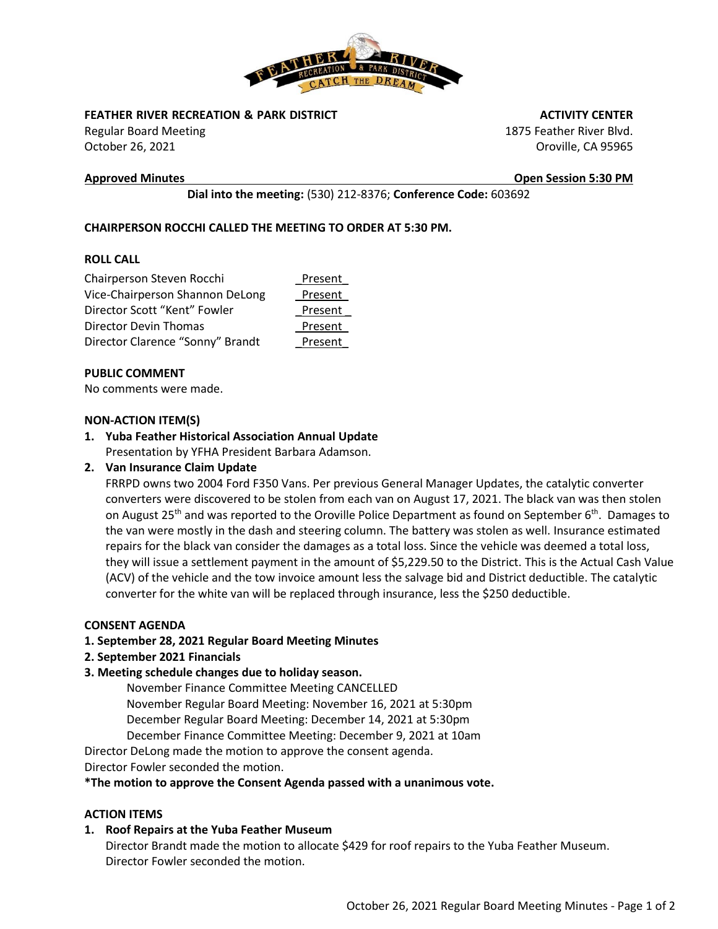

**FEATHER RIVER RECREATION & PARK DISTRICT** 

Regular Board Meeting October 26, 2021

 **ACTIVITY CENTER**

1875 Feather River Blvd. Oroville, CA 95965

**Approved Minutes Open Session 5:30 PM**

**Dial into the meeting:** (530) 212-8376; **Conference Code:** 603692

# **CHAIRPERSON ROCCHI CALLED THE MEETING TO ORDER AT 5:30 PM.**

# **ROLL CALL**

| Chairperson Steven Rocchi        | Present |
|----------------------------------|---------|
| Vice-Chairperson Shannon DeLong  | Present |
| Director Scott "Kent" Fowler     | Present |
| Director Devin Thomas            | Present |
| Director Clarence "Sonny" Brandt | Present |

# **PUBLIC COMMENT**

No comments were made.

# **NON-ACTION ITEM(S)**

# **1. Yuba Feather Historical Association Annual Update**

Presentation by YFHA President Barbara Adamson.

# **2. Van Insurance Claim Update**

FRRPD owns two 2004 Ford F350 Vans. Per previous General Manager Updates, the catalytic converter converters were discovered to be stolen from each van on August 17, 2021. The black van was then stolen on August 25<sup>th</sup> and was reported to the Oroville Police Department as found on September 6<sup>th</sup>. Damages to the van were mostly in the dash and steering column. The battery was stolen as well. Insurance estimated repairs for the black van consider the damages as a total loss. Since the vehicle was deemed a total loss, they will issue a settlement payment in the amount of \$5,229.50 to the District. This is the Actual Cash Value (ACV) of the vehicle and the tow invoice amount less the salvage bid and District deductible. The catalytic converter for the white van will be replaced through insurance, less the \$250 deductible.

#### **CONSENT AGENDA**

# **1. September 28, 2021 Regular Board Meeting Minutes**

**2. September 2021 Financials** 

# **3. Meeting schedule changes due to holiday season.**

November Finance Committee Meeting CANCELLED November Regular Board Meeting: November 16, 2021 at 5:30pm December Regular Board Meeting: December 14, 2021 at 5:30pm December Finance Committee Meeting: December 9, 2021 at 10am

Director DeLong made the motion to approve the consent agenda.

Director Fowler seconded the motion.

#### **\*The motion to approve the Consent Agenda passed with a unanimous vote.**

# **ACTION ITEMS**

# **1. Roof Repairs at the Yuba Feather Museum**

Director Brandt made the motion to allocate \$429 for roof repairs to the Yuba Feather Museum. Director Fowler seconded the motion.